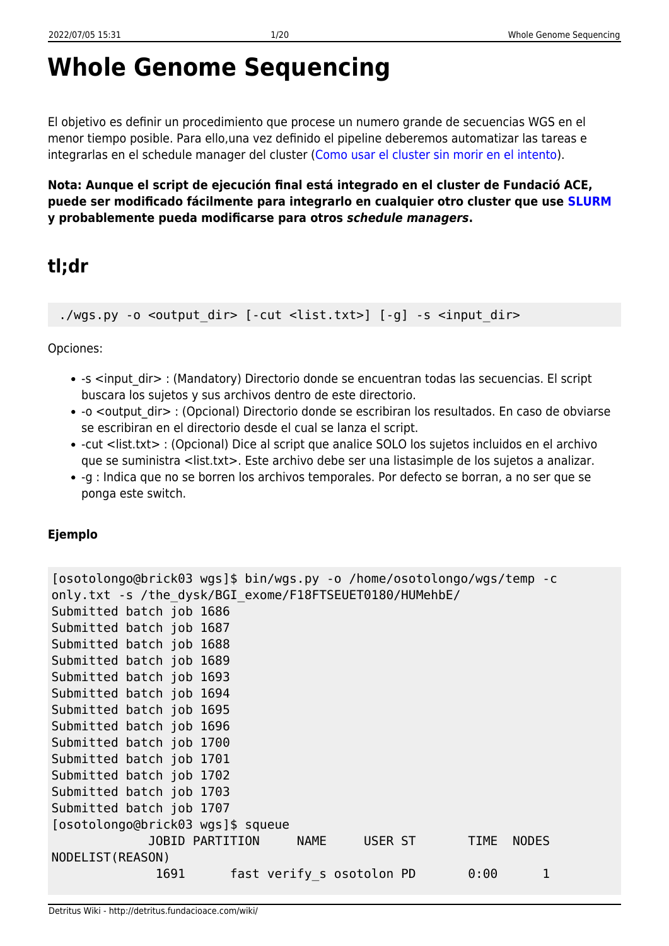# **Whole Genome Sequencing**

El objetivo es definir un procedimiento que procese un numero grande de secuencias WGS en el menor tiempo posible. Para ello,una vez definido el pipeline deberemos automatizar las tareas e integrarlas en el schedule manager del cluster ([Como usar el cluster sin morir en el intento\)](http://detritus.fundacioace.com/wiki/doku.php?id=cluster).

**Nota: Aunque el script de ejecución final está integrado en el cluster de Fundació ACE, puede ser modificado fácilmente para integrarlo en cualquier otro cluster que use [SLURM](https://slurm.schedmd.com/) y probablemente pueda modificarse para otros** *schedule managers***.**

# **tl;dr**

./wgs.py -o <output dir> [-cut <list.txt>] [-g] -s <input dir>

Opciones:

- -s <input dir> : (Mandatory) Directorio donde se encuentran todas las secuencias. El script buscara los sujetos y sus archivos dentro de este directorio.
- -o <output dir> : (Opcional) Directorio donde se escribiran los resultados. En caso de obviarse se escribiran en el directorio desde el cual se lanza el script.
- -cut <list.txt> : (Opcional) Dice al script que analice SOLO los sujetos incluidos en el archivo que se suministra <list.txt>. Este archivo debe ser una listasimple de los sujetos a analizar.
- -g : Indica que no se borren los archivos temporales. Por defecto se borran, a no ser que se ponga este switch.

#### **Ejemplo**

```
[osotolongo@brick03 wgs]$ bin/wgs.py -o /home/osotolongo/wgs/temp -c
only.txt -s /the_dysk/BGI_exome/F18FTSEUET0180/HUMehbE/
Submitted batch job 1686
Submitted batch job 1687
Submitted batch job 1688
Submitted batch job 1689
Submitted batch job 1693
Submitted batch job 1694
Submitted batch job 1695
Submitted batch job 1696
Submitted batch job 1700
Submitted batch job 1701
Submitted batch job 1702
Submitted batch job 1703
Submitted batch job 1707
[osotolongo@brick03 wgs]$ squeue
             JOBID PARTITION NAME USER ST TIME NODES
NODELIST(REASON)
             1691 fast verify s osotolon PD 0:00 1
```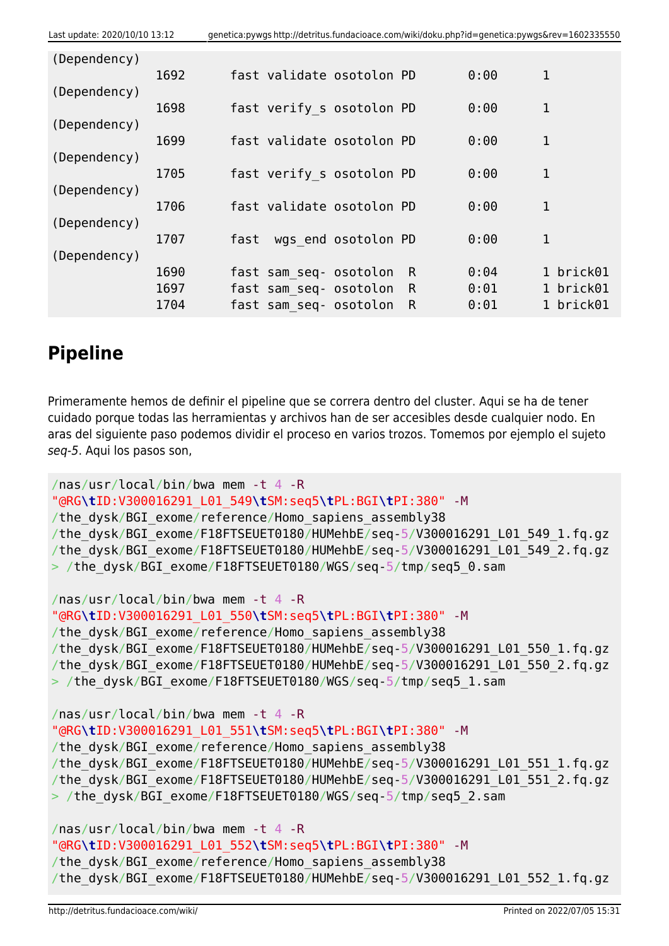| Last update: 2020/10/10 13:12 |      | genetica:pywgs http://detritus.fundacioace.com/wiki/doku.php?id=genetica:pywgs&rev=1602335550 |                           |                     |              |      |             |  |
|-------------------------------|------|-----------------------------------------------------------------------------------------------|---------------------------|---------------------|--------------|------|-------------|--|
| (Dependency)                  |      |                                                                                               |                           |                     |              |      |             |  |
|                               | 1692 |                                                                                               | fast validate osotolon PD |                     |              | 0:00 | 1           |  |
| (Dependency)                  |      |                                                                                               |                           |                     |              |      |             |  |
| (Dependency)                  | 1698 |                                                                                               | fast verify s osotolon PD |                     |              | 0:00 | 1           |  |
|                               | 1699 |                                                                                               | fast validate osotolon PD |                     |              | 0:00 | 1           |  |
| (Dependency)                  |      |                                                                                               |                           |                     |              |      |             |  |
| (Dependency)                  | 1705 |                                                                                               | fast verify s osotolon PD |                     |              | 0:00 | 1           |  |
|                               | 1706 |                                                                                               | fast validate osotolon PD |                     |              | 0:00 | $\mathbf 1$ |  |
| (Dependency)                  |      |                                                                                               |                           |                     |              |      |             |  |
|                               | 1707 | fast                                                                                          |                           | wgs end osotolon PD |              | 0:00 | $\mathbf 1$ |  |
| (Dependency)                  | 1690 |                                                                                               | fast sam seq- osotolon    |                     | R            | 0:04 | 1 brick01   |  |
|                               | 1697 |                                                                                               | fast sam seq- osotolon    |                     | $\mathsf{R}$ | 0:01 | 1 brick01   |  |
|                               | 1704 |                                                                                               | fast sam seq- osotolon    |                     | R            | 0:01 | 1 brick01   |  |

# **Pipeline**

Primeramente hemos de definir el pipeline que se correra dentro del cluster. Aqui se ha de tener cuidado porque todas las herramientas y archivos han de ser accesibles desde cualquier nodo. En aras del siguiente paso podemos dividir el proceso en varios trozos. Tomemos por ejemplo el sujeto seq-5. Aqui los pasos son,

```
/nas/usr/local/bin/bwa mem -t 4 -R
"@RG\tID:V300016291_L01_549\tSM:seq5\tPL:BGI\tPI:380" -M
/the_dysk/BGI_exome/reference/Homo_sapiens_assembly38
/the_dysk/BGI_exome/F18FTSEUET0180/HUMehbE/seq-5/V300016291_L01_549_1.fq.gz
/the_dysk/BGI_exome/F18FTSEUET0180/HUMehbE/seq-5/V300016291_L01_549_2.fq.gz
> /the dysk/BGI exome/F18FTSEUET0180/WGS/seq-5/tmp/seq5 0.sam
/nas/usr/local/bin/bwa mem -t 4 -R
"@RG\tID:V300016291_L01_550\tSM:seq5\tPL:BGI\tPI:380" -M
/the dysk/BGI exome/reference/Homo sapiens assembly38
/the_dysk/BGI_exome/F18FTSEUET0180/HUMehbE/seq-5/V300016291_L01_550_1.fq.gz
/the_dysk/BGI_exome/F18FTSEUET0180/HUMehbE/seq-5/V300016291_L01_550_2.fq.gz
> /the dysk/BGI exome/F18FTSEUET0180/WGS/seq-5/tmp/seq5 1.sam
/nas/usr/local/bin/bwa mem -t 4 -R
"@RG\tID:V300016291_L01_551\tSM:seq5\tPL:BGI\tPI:380" -M
/the dysk/BGI exome/reference/Homo sapiens assembly38
/the_dysk/BGI_exome/F18FTSEUET0180/HUMehbE/seq-5/V300016291_L01_551_1.fq.gz
/the_dysk/BGI_exome/F18FTSEUET0180/HUMehbE/seq-5/V300016291_L01_551_2.fq.gz
> /the dysk/BGI exome/F18FTSEUET0180/WGS/seq-5/tmp/seq5 2.sam
```
/nas/usr/local/bin/bwa mem -t 4 -R "@RG**\t**ID:V300016291\_L01\_552**\t**SM:seq5**\t**PL:BGI**\t**PI:380" -M /the\_dysk/BGI\_exome/reference/Homo\_sapiens\_assembly38 /the\_dysk/BGI\_exome/F18FTSEUET0180/HUMehbE/seq-5/V300016291\_L01\_552\_1.fq.gz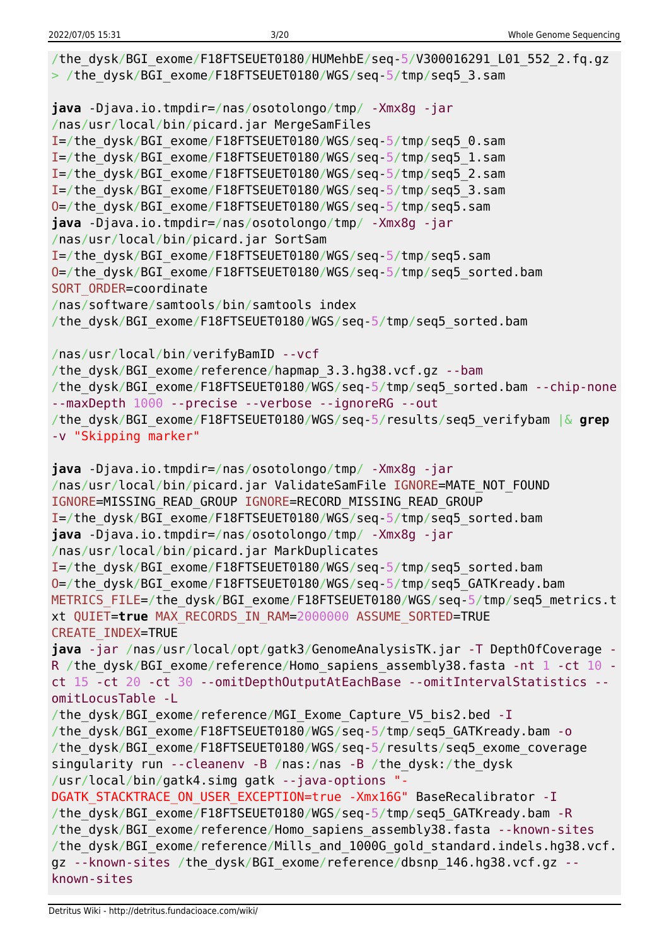```
/the_dysk/BGI_exome/F18FTSEUET0180/HUMehbE/seq-5/V300016291_L01_552_2.fq.gz
> /the dysk/BGI exome/F18FTSEUET0180/WGS/seq-5/tmp/seq5 3.sam
java -Djava.io.tmpdir=/nas/osotolongo/tmp/ -Xmx8g -jar
/nas/usr/local/bin/picard.jar MergeSamFiles
I=/the_dysk/BGI_exome/F18FTSEUET0180/WGS/seq-5/tmp/seq5_0.sam
I=/the_dysk/BGI_exome/F18FTSEUET0180/WGS/seq-5/tmp/seq5_1.sam
I=/the_dysk/BGI_exome/F18FTSEUET0180/WGS/seq-5/tmp/seq5_2.sam
I=/the_dysk/BGI_exome/F18FTSEUET0180/WGS/seq-5/tmp/seq5_3.sam
O=/the_dysk/BGI_exome/F18FTSEUET0180/WGS/seq-5/tmp/seq5.sam
java -Djava.io.tmpdir=/nas/osotolongo/tmp/ -Xmx8g -jar
/nas/usr/local/bin/picard.jar SortSam
I=/the_dysk/BGI_exome/F18FTSEUET0180/WGS/seq-5/tmp/seq5.sam
O=/the_dysk/BGI_exome/F18FTSEUET0180/WGS/seq-5/tmp/seq5_sorted.bam
SORT ORDER=coordinate
/nas/software/samtools/bin/samtools index
/the_dysk/BGI_exome/F18FTSEUET0180/WGS/seq-5/tmp/seq5_sorted.bam
/nas/usr/local/bin/verifyBamID --vcf
/the dysk/BGI exome/reference/hapmap 3.3.hq38.vcf.gz --bam/the dysk/BGI exome/F18FTSEUET0180/WGS/seq-5/tmp/seq5 sorted.bam --chip-none
--maxDepth 1000 --precise --verbose --ignoreRG --out
/the_dysk/BGI_exome/F18FTSEUET0180/WGS/seq-5/results/seq5_verifybam |& grep
-v "Skipping marker"
java -Djava.io.tmpdir=/nas/osotolongo/tmp/ -Xmx8g -jar
/nas/usr/local/bin/picard.jar ValidateSamFile IGNORE=MATE NOT FOUND
IGNORE=MISSING_READ_GROUP IGNORE=RECORD_MISSING_READ_GROUP
I=/the_dysk/BGI_exome/F18FTSEUET0180/WGS/seq-5/tmp/seq5_sorted.bam
java -Djava.io.tmpdir=/nas/osotolongo/tmp/ -Xmx8g -jar
/nas/usr/local/bin/picard.jar MarkDuplicates
I=/the_dysk/BGI_exome/F18FTSEUET0180/WGS/seq-5/tmp/seq5_sorted.bam
O=/the_dysk/BGI_exome/F18FTSEUET0180/WGS/seq-5/tmp/seq5_GATKready.bam
METRICS FILE=/the dysk/BGI exome/F18FTSEUET0180/WGS/seq-5/tmp/seq5 metrics.t
xt QUIET=true MAX_RECORDS_IN_RAM=2000000 ASSUME_SORTED=TRUE
CREATE_INDEX=TRUE
java -jar /nas/usr/local/opt/gatk3/GenomeAnalysisTK.jar -T DepthOfCoverage -
R /the_dysk/BGI_exome/reference/Homo_sapiens_assembly38.fasta -nt 1 -ct 10 -
ct 15 -ct 20 -ct 30 --omitDepthOutputAtEachBase --omitIntervalStatistics --
omitLocusTable -L
/the_dysk/BGI_exome/reference/MGI_Exome_Capture_V5_bis2.bed -I
/the_dysk/BGI_exome/F18FTSEUET0180/WGS/seq-5/tmp/seq5_GATKready.bam -o
/the_dysk/BGI_exome/F18FTSEUET0180/WGS/seq-5/results/seq5_exome_coverage
singularity run --cleanenv -B /nas:/nas -B /the_dysk:/the_dysk
/usr/local/bin/gatk4.simg gatk --java-options "-
DGATK STACKTRACE ON USER EXCEPTION=true -Xmx16G" BaseRecalibrator -I
/the_dysk/BGI_exome/F18FTSEUET0180/WGS/seq-5/tmp/seq5_GATKready.bam -R
/the_dysk/BGI_exome/reference/Homo_sapiens_assembly38.fasta --known-sites
/the dysk/BGI exome/reference/Mills and 1000G gold standard.indels.hg38.vcf.
gz --known-sites /the dysk/BGI exome/reference/dbsnp 146.hg38.vcf.gz --
known-sites
```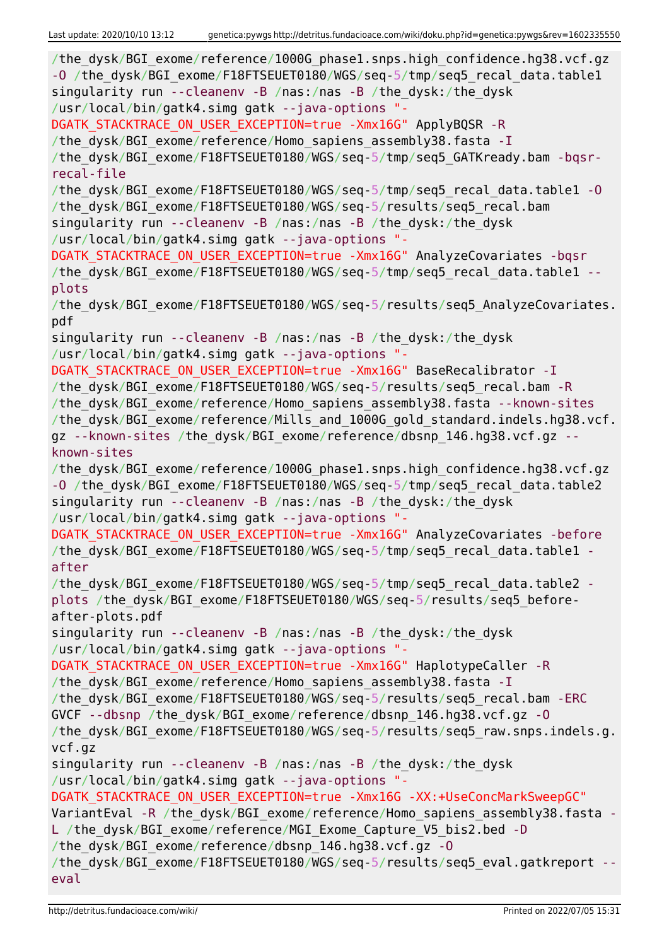| /the_dysk/BGI_exome/reference/1000G_phase1.snps.high_confidence.hg38.vcf.gz<br>-0 /the dysk/BGI exome/F18FTSEUET0180/WGS/seq-5/tmp/seq5 recal data.table1<br>singularity run --cleanenv -B /nas:/nas -B /the dysk:/the dysk<br>/usr/local/bin/gatk4.simg gatk --java-options "-<br>DGATK_STACKTRACE_ON_USER_EXCEPTION=true -Xmx16G" ApplyBQSR -R<br>/the_dysk/BGI_exome/reference/Homo_sapiens_assembly38.fasta - I<br>/the_dysk/BGI_exome/F18FTSEUET0180/WGS/seq-5/tmp/seq5_GATKready.bam -bqsr-<br>recal-file<br>/the_dysk/BGI_exome/F18FTSEUET0180/WGS/seq-5/tmp/seq5_recal_data.table1 -0<br>/the_dysk/BGI_exome/F18FTSEUET0180/WGS/seq-5/results/seq5_recal.bam<br>singularity run --cleanenv -B /nas:/nas -B /the_dysk:/the_dysk<br>/usr/local/bin/gatk4.simg gatk --java-options "-<br>DGATK_STACKTRACE_ON_USER_EXCEPTION=true -Xmx16G" AnalyzeCovariates -bqsr<br>/the_dysk/BGI_exome/F18FTSEUET0180/WGS/seq-5/tmp/seq5_recal_data.table1 --<br>plots<br>/the_dysk/BGI_exome/F18FTSEUET0180/WGS/seq-5/results/seq5_AnalyzeCovariates.<br>pdf<br>singularity run --cleanenv -B /nas:/nas -B /the_dysk:/the_dysk<br>/usr/local/bin/gatk4.simg gatk --java-options "-<br>DGATK_STACKTRACE_ON_USER_EXCEPTION=true -Xmx16G" BaseRecalibrator -I<br>/the dysk/BGI exome/F18FTSEUET0180/WGS/seq-5/results/seq5 recal.bam -R<br>/the_dysk/BGI_exome/reference/Homo_sapiens_assembly38.fasta --known-sites<br>/the_dysk/BGI_exome/reference/Mills_and_1000G_gold_standard.indels.hg38.vcf. |
|-------------------------------------------------------------------------------------------------------------------------------------------------------------------------------------------------------------------------------------------------------------------------------------------------------------------------------------------------------------------------------------------------------------------------------------------------------------------------------------------------------------------------------------------------------------------------------------------------------------------------------------------------------------------------------------------------------------------------------------------------------------------------------------------------------------------------------------------------------------------------------------------------------------------------------------------------------------------------------------------------------------------------------------------------------------------------------------------------------------------------------------------------------------------------------------------------------------------------------------------------------------------------------------------------------------------------------------------------------------------------------------------------------------------------------------------------------------------------------------------|
| gz --known-sites /the_dysk/BGI_exome/reference/dbsnp_146.hg38.vcf.gz --<br>known-sites<br>/the dysk/BGI exome/reference/1000G phasel.snps.high confidence.hg38.vcf.gz<br>-0 /the dysk/BGI exome/F18FTSEUET0180/WGS/seq-5/tmp/seq5 recal data.table2                                                                                                                                                                                                                                                                                                                                                                                                                                                                                                                                                                                                                                                                                                                                                                                                                                                                                                                                                                                                                                                                                                                                                                                                                                       |
| singularity run --cleanenv -B /nas:/nas -B /the_dysk:/the_dysk<br>/usr/local/bin/gatk4.simg gatk --java-options "-<br>DGATK_STACKTRACE_ON_USER_EXCEPTION=true -Xmx16G" AnalyzeCovariates -before<br>/the_dysk/BGI_exome/F18FTSEUET0180/WGS/seq-5/tmp/seq5_recal_data.table1<br>after                                                                                                                                                                                                                                                                                                                                                                                                                                                                                                                                                                                                                                                                                                                                                                                                                                                                                                                                                                                                                                                                                                                                                                                                      |
| /the dysk/BGI exome/F18FTSEUET0180/WGS/seq-5/tmp/seq5 recal data.table2 -<br>plots /the_dysk/BGI_exome/F18FTSEUET0180/WGS/seq-5/results/seq5_before-<br>after-plots.pdf                                                                                                                                                                                                                                                                                                                                                                                                                                                                                                                                                                                                                                                                                                                                                                                                                                                                                                                                                                                                                                                                                                                                                                                                                                                                                                                   |
| singularity run --cleanenv -B /nas:/nas -B /the_dysk:/the_dysk<br>/usr/local/bin/gatk4.simg gatk --java-options "-<br>DGATK STACKTRACE ON USER EXCEPTION=true -Xmx16G" HaplotypeCaller -R                                                                                                                                                                                                                                                                                                                                                                                                                                                                                                                                                                                                                                                                                                                                                                                                                                                                                                                                                                                                                                                                                                                                                                                                                                                                                                 |
| /the dysk/BGI exome/reference/Homo sapiens assembly38.fasta - I<br>/the dysk/BGI exome/F18FTSEUET0180/WGS/seq-5/results/seq5 recal.bam -ERC<br>GVCF --dbsnp /the dysk/BGI exome/reference/dbsnp 146.hg38.vcf.gz -0<br>/the_dysk/BGI_exome/F18FTSEUET0180/WGS/seq-5/results/seq5_raw.snps.indels.g.<br>vcf.gz                                                                                                                                                                                                                                                                                                                                                                                                                                                                                                                                                                                                                                                                                                                                                                                                                                                                                                                                                                                                                                                                                                                                                                              |
| singularity run --cleanenv -B /nas:/nas -B /the dysk:/the dysk<br>/usr/local/bin/gatk4.simg gatk --java-options "-<br>DGATK STACKTRACE ON USER EXCEPTION=true -Xmx16G -XX:+UseConcMarkSweepGC"<br>VariantEval -R /the dysk/BGI exome/reference/Homo sapiens assembly38.fasta -<br>L /the dysk/BGI exome/reference/MGI Exome Capture V5 bis2.bed -D<br>/the dysk/BGI exome/reference/dbsnp 146.hg38.vcf.gz -0<br>/the dysk/BGI exome/F18FTSEUET0180/WGS/seq-5/results/seq5 eval.gatkreport --                                                                                                                                                                                                                                                                                                                                                                                                                                                                                                                                                                                                                                                                                                                                                                                                                                                                                                                                                                                              |
| eval                                                                                                                                                                                                                                                                                                                                                                                                                                                                                                                                                                                                                                                                                                                                                                                                                                                                                                                                                                                                                                                                                                                                                                                                                                                                                                                                                                                                                                                                                      |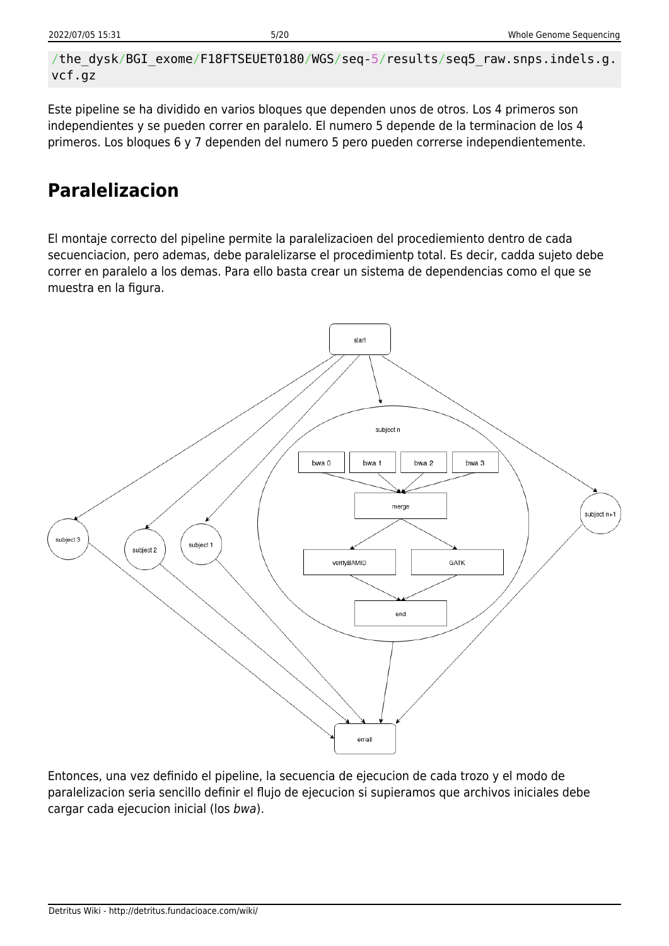```
/the_dysk/BGI_exome/F18FTSEUET0180/WGS/seq-5/results/seq5_raw.snps.indels.g.
vcf.gz
```
Este pipeline se ha dividido en varios bloques que dependen unos de otros. Los 4 primeros son independientes y se pueden correr en paralelo. El numero 5 depende de la terminacion de los 4 primeros. Los bloques 6 y 7 dependen del numero 5 pero pueden correrse independientemente.

# **Paralelizacion**

El montaje correcto del pipeline permite la paralelizacioen del procediemiento dentro de cada secuenciacion, pero ademas, debe paralelizarse el procedimientp total. Es decir, cadda sujeto debe correr en paralelo a los demas. Para ello basta crear un sistema de dependencias como el que se muestra en la figura.



Entonces, una vez definido el pipeline, la secuencia de ejecucion de cada trozo y el modo de paralelizacion seria sencillo definir el flujo de ejecucion si supieramos que archivos iniciales debe cargar cada ejecucion inicial (los bwa).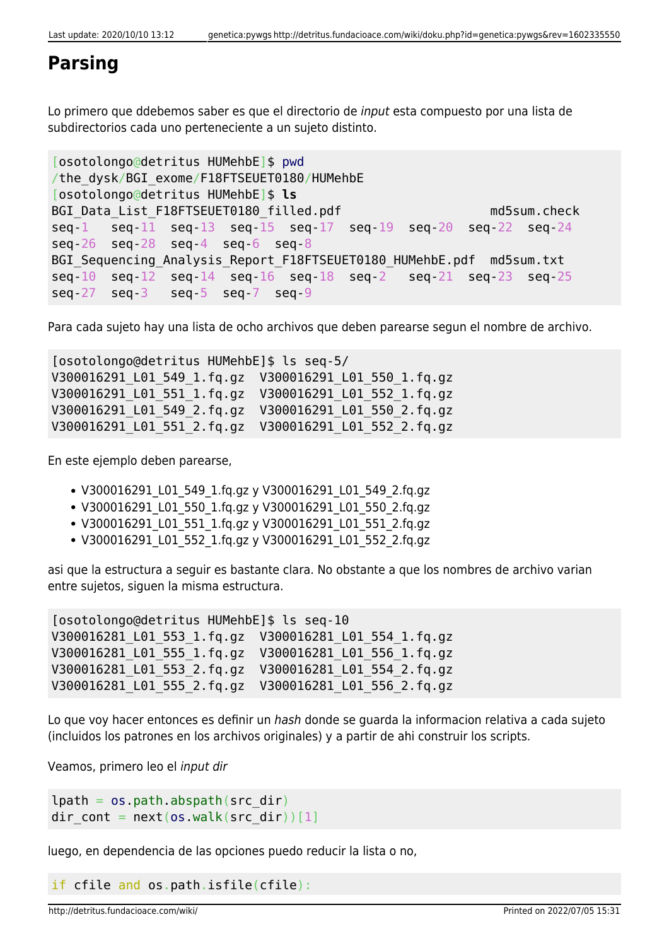### **Parsing**

Lo primero que ddebemos saber es que el directorio de input esta compuesto por una lista de subdirectorios cada uno perteneciente a un sujeto distinto.

```
[osotolongo@detritus HUMehbE]$ pwd
/the_dysk/BGI_exome/F18FTSEUET0180/HUMehbE
[osotolongo@detritus HUMehbE]$ ls
BGI Data List F18FTSEUET0180 filled.pdf md5sum.check
seq-1 seq-11 seq-13 seq-15 seq-17 seq-19 seq-20 seq-22 seq-24
seq-26 seq-28 seq-4 seq-6 seq-8
BGI Sequencing Analysis Report F18FTSEUET0180 HUMehbE.pdf md5sum.txt
seq-10 seq-12 seq-14 seq-16 seq-18 seq-2 seq-21 seq-23 seq-25
seq-27 seq-3 seq-5 seq-7 seq-9
```
Para cada sujeto hay una lista de ocho archivos que deben parearse segun el nombre de archivo.

[osotolongo@detritus HUMehbE]\$ ls seq-5/ V300016291\_L01\_549\_1.fq.gz V300016291\_L01\_550\_1.fq.gz V300016291\_L01\_551\_1.fq.gz V300016291\_L01\_552\_1.fq.gz V300016291\_L01\_549\_2.fq.gz V300016291\_L01\_550\_2.fq.gz V300016291\_L01\_551\_2.fq.gz V300016291\_L01\_552\_2.fq.gz

En este ejemplo deben parearse,

- V300016291 L01 549 1.fg.gz y V300016291 L01 549 2.fg.gz
- V300016291 L01 550 1.fq.gz y V300016291 L01 550 2.fq.gz
- V300016291\_L01\_551\_1.fq.gz y V300016291\_L01\_551\_2.fq.gz
- V300016291 L01 552 1.fq.gz y V300016291 L01 552 2.fq.gz

asi que la estructura a seguir es bastante clara. No obstante a que los nombres de archivo varian entre sujetos, siguen la misma estructura.

[osotolongo@detritus HUMehbE]\$ ls seq-10 V300016281\_L01\_553\_1.fq.gz V300016281\_L01\_554\_1.fq.gz V300016281\_L01\_555\_1.fq.gz V300016281\_L01\_556\_1.fq.gz V300016281\_L01\_553\_2.fq.gz V300016281\_L01\_554\_2.fq.gz V300016281\_L01\_555\_2.fq.gz V300016281\_L01\_556\_2.fq.gz

Lo que voy hacer entonces es definir un hash donde se quarda la informacion relativa a cada sujeto (incluidos los patrones en los archivos originales) y a partir de ahi construir los scripts.

Veamos, primero leo el input dir

```
lpath = os.pathr<sub>obs</sub>, abspath(src dir)</sub>
dir cont = next(os.walk(src dir))[1]
```
luego, en dependencia de las opciones puedo reducir la lista o no,

if cfile and os.path.isfile(cfile):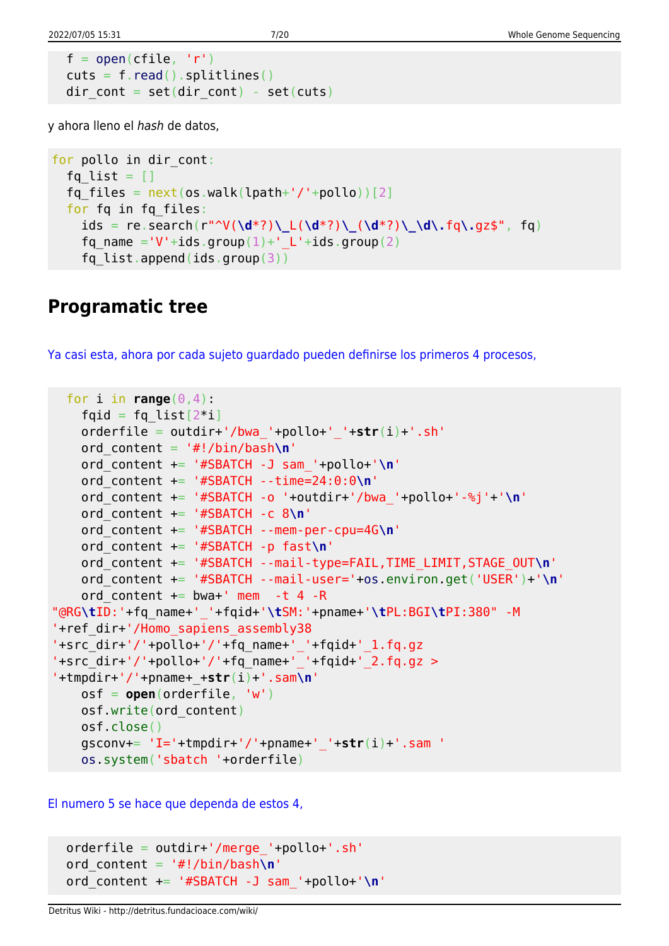```
open(cfile, 'r')read().splitlines()dir cont = set(dir cont) - set(cuts)
```
y ahora lleno el hash de datos,

```
for pollo in dir cont:
  fq list = []fq files = next(os.walk(lpath+'/'+pollo))[2] for fq in fq_files:
     ids = re.search(r"^V(\d*?)\_L(\d*?)\_(\d*?)\_\d\.fq\.gz$", fq)
    fq name ='V'+ids.group(1)+' L'+ids.group(2)
     fq_list.append(ids.group(3))
```
### **Programatic tree**

[Ya casi esta, ahora por cada sujeto guardado pueden definirse los primeros 4 procesos,](#page--1-0)

```
for i in range(0, 4):
   fqid = fq list[2^*i] orderfile = outdir+'/bwa_'+pollo+'_'+str(i)+'.sh'
    ord_content = '#!/bin/bash\n'
    ord_content += '#SBATCH -J sam_'+pollo+'\n'
    ord_content += '#SBATCH --time=24:0:0\n'
    ord_content += '#SBATCH -o '+outdir+'/bwa_'+pollo+'-%j'+'\n'
    ord_content += '#SBATCH -c 8\n'
    ord_content += '#SBATCH --mem-per-cpu=4G\n'
    ord_content += '#SBATCH -p fast\n'
    ord_content += '#SBATCH --mail-type=FAIL,TIME_LIMIT,STAGE_OUT\n'
    ord_content += '#SBATCH --mail-user='+os.environ.get('USER')+'\n'
   ord content += bwa+' mem -t 4 -R
"@RG\tID:'+fq_name+'_'+fqid+'\tSM:'+pname+'\tPL:BGI\tPI:380" -M
'+ref_dir+'/Homo_sapiens_assembly38
'+src_dir+'/'+pollo+'/'+fq_name+'_'+fqid+'_1.fq.gz
'+src dir+'/'+pollo+'/'+fq name+' '+fqid+' 2.fq.qz >
'+tmpdir+'/'+pname+_+str(i)+'.sam\n'
    osf = open(orderfile, 'w')
    osf.write(ord_content)
    osf.close()
    gsconv+= 'I='+tmpdir+'/'+pname+'_'+str(i)+'.sam '
    os.system('sbatch '+orderfile)
```
[El numero 5 se hace que dependa de estos 4,](#page--1-0)

```
 orderfile = outdir+'/merge_'+pollo+'.sh'
 ord_content = '#!/bin/bash\n'
 ord_content += '#SBATCH -J sam_'+pollo+'\n'
```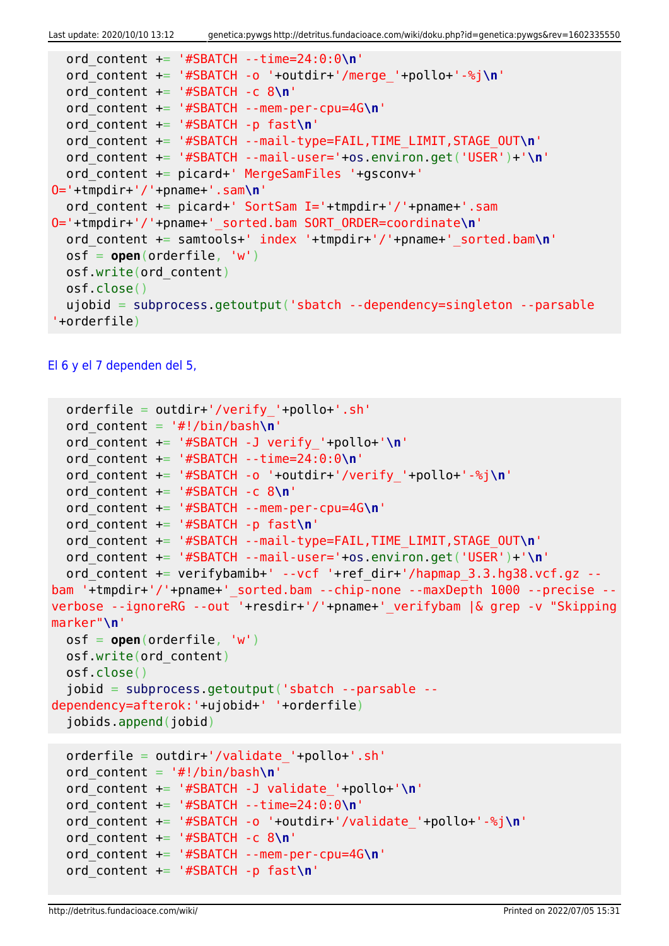Last update: 2020/10/10 13:12 genetica:pywgs http://detritus.fundacioace.com/wiki/doku.php?id=genetica:pywgs&rev=1602335550

```
 ord_content += '#SBATCH --time=24:0:0\n'
  ord_content += '#SBATCH -o '+outdir+'/merge_'+pollo+'-%j\n'
  ord_content += '#SBATCH -c 8\n'
  ord_content += '#SBATCH --mem-per-cpu=4G\n'
  ord_content += '#SBATCH -p fast\n'
   ord_content += '#SBATCH --mail-type=FAIL,TIME_LIMIT,STAGE_OUT\n'
   ord_content += '#SBATCH --mail-user='+os.environ.get('USER')+'\n'
   ord_content += picard+' MergeSamFiles '+gsconv+'
O='+tmpdir+'/'+pname+'.sam\n'
  ord content += picard+' SortSam I='+tmpdir+'/'+pname+'.sam
O='+tmpdir+'/'+pname+'_sorted.bam SORT_ORDER=coordinate\n'
   ord_content += samtools+' index '+tmpdir+'/'+pname+'_sorted.bam\n'
   osf = open(orderfile, 'w')
  osf.write(ord_content)
  osf.close()
   ujobid = subprocess.getoutput('sbatch --dependency=singleton --parsable
'+orderfile)
```
#### [El 6 y el 7 dependen del 5,](#page--1-0)

```
 orderfile = outdir+'/verify_'+pollo+'.sh'
  ord_content = '#!/bin/bash\n'
  ord_content += '#SBATCH -J verify_'+pollo+'\n'
  ord_content += '#SBATCH --time=24:0:0\n'
  ord_content += '#SBATCH -o '+outdir+'/verify_'+pollo+'-%j\n'
  ord_content += '#SBATCH -c 8\n'
  ord_content += '#SBATCH --mem-per-cpu=4G\n'
  ord_content += '#SBATCH -p fast\n'
  ord_content += '#SBATCH --mail-type=FAIL,TIME_LIMIT,STAGE_OUT\n'
  ord_content += '#SBATCH --mail-user='+os.environ.get('USER')+'\n'
  ord content += verifybamib+' --vcf '+ref dir+'/hapmap 3.3.hg38.vcf.gz --
bam '+tmpdir+'/'+pname+' sorted.bam --chip-none --maxDepth 1000 --precise --
verbose --ignoreRG --out '+resdir+'/'+pname+'_verifybam |& grep -v "Skipping
marker"\n'
  osf = open(orderfile, 'w')
  osf.write(ord_content)
  osf.close()
   jobid = subprocess.getoutput('sbatch --parsable --
dependency=afterok:'+ujobid+' '+orderfile)
   jobids.append(jobid)
  orderfile = outdir+'/validate_'+pollo+'.sh'
  ord content = '#!/bin/bash\nu' ord_content += '#SBATCH -J validate_'+pollo+'\n'
  ord_content += '#SBATCH --time=24:0:0\n'
```

```
 ord_content += '#SBATCH -o '+outdir+'/validate_'+pollo+'-%j\n'
```

```
 ord_content += '#SBATCH -c 8\n'
```
ord\_content += '#SBATCH -p fast**\n**'

ord\_content += '#SBATCH --mem-per-cpu=4G**\n**'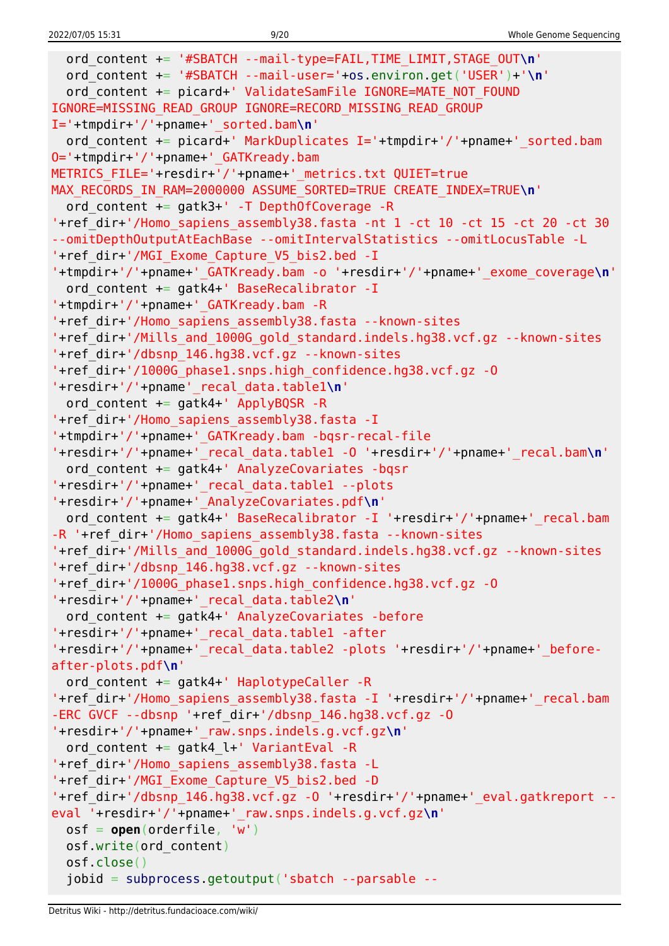```
 ord_content += '#SBATCH --mail-type=FAIL,TIME_LIMIT,STAGE_OUT\n'
   ord_content += '#SBATCH --mail-user='+os.environ.get('USER')+'\n'
  ord content += picard+' ValidateSamFile IGNORE=MATE NOT FOUND
IGNORE=MISSING_READ_GROUP IGNORE=RECORD_MISSING_READ_GROUP
I='+tmpdir+'/'+pname+'_sorted.bam\n'
  ord content += picard+' MarkDuplicates I='+tmpdir+'/'+pname+' sorted.bam
O='+tmpdir+'/'+pname+'_GATKready.bam
METRICS FILE='+resdir+'/'+pname+' metrics.txt QUIET=true
MAX RECORDS IN RAM=2000000 ASSUME SORTED=TRUE CREATE INDEX=TRUE\n'
  ord content += gatk3+' -T DepthOfCoverage -R
'+ref_dir+'/Homo_sapiens_assembly38.fasta -nt 1 -ct 10 -ct 15 -ct 20 -ct 30
--omitDepthOutputAtEachBase --omitIntervalStatistics --omitLocusTable -L
'+ref_dir+'/MGI_Exome_Capture_V5_bis2.bed -I
'+tmpdir+'/'+pname+'_GATKready.bam -o '+resdir+'/'+pname+'_exome_coverage\n'
  ord content += gatk4+' BaseRecalibrator -I
'+tmpdir+'/'+pname+'_GATKready.bam -R
'+ref_dir+'/Homo_sapiens_assembly38.fasta --known-sites
'+ref_dir+'/Mills_and_1000G_gold_standard.indels.hg38.vcf.gz --known-sites
'+ref_dir+'/dbsnp_146.hg38.vcf.gz --known-sites
'+ref_dir+'/1000G_phase1.snps.high_confidence.hg38.vcf.gz -O
'+resdir+'/'+pname'_recal_data.table1\n'
  ord content += gatk4+' ApplyBQSR -R
'+ref_dir+'/Homo_sapiens_assembly38.fasta -I
'+tmpdir+'/'+pname+'_GATKready.bam -bqsr-recal-file
'+resdir+'/'+pname+'_recal_data.table1 -O '+resdir+'/'+pname+'_recal.bam\n'
   ord_content += gatk4+' AnalyzeCovariates -bqsr
'+resdir+'/'+pname+'_recal_data.table1 --plots
'+resdir+'/'+pname+'_AnalyzeCovariates.pdf\n'
  ord content += gatk4+' BaseRecalibrator -I '+resdir+'/'+pname+' recal.bam
-R '+ref_dir+'/Homo_sapiens_assembly38.fasta --known-sites
'+ref_dir+'/Mills_and_1000G_gold_standard.indels.hg38.vcf.gz --known-sites
'+ref_dir+'/dbsnp_146.hg38.vcf.gz --known-sites
'+ref_dir+'/1000G_phase1.snps.high_confidence.hg38.vcf.gz -O
'+resdir+'/'+pname+'_recal_data.table2\n'
  ord content += gatk4+' AnalyzeCovariates -before
'+resdir+'/'+pname+'_recal_data.table1 -after
'+resdir+'/'+pname+'_recal_data.table2 -plots '+resdir+'/'+pname+'_before-
after-plots.pdf\n'
 ord content += gatk4+' HaplotypeCaller -R
'+ref dir+'/Homo sapiens assembly38.fasta -I '+resdir+'/'+pname+' recal.bam
-ERC GVCF --dbsnp '+ref_dir+'/dbsnp_146.hg38.vcf.gz -O
'+resdir+'/'+pname+'_raw.snps.indels.g.vcf.gz\n'
  ord content += gatk4 l+' VariantEval -R
'+ref_dir+'/Homo_sapiens_assembly38.fasta -L
'+ref_dir+'/MGI_Exome_Capture_V5_bis2.bed -D
'+ref_dir+'/dbsnp_146.hg38.vcf.gz -O '+resdir+'/'+pname+'_eval.gatkreport --
eval '+resdir+'/'+pname+'_raw.snps.indels.g.vcf.gz\n'
  osf = open(orderfile, 'w')
  osf.write(ord_content)
  osf.close()
   jobid = subprocess.getoutput('sbatch --parsable --
```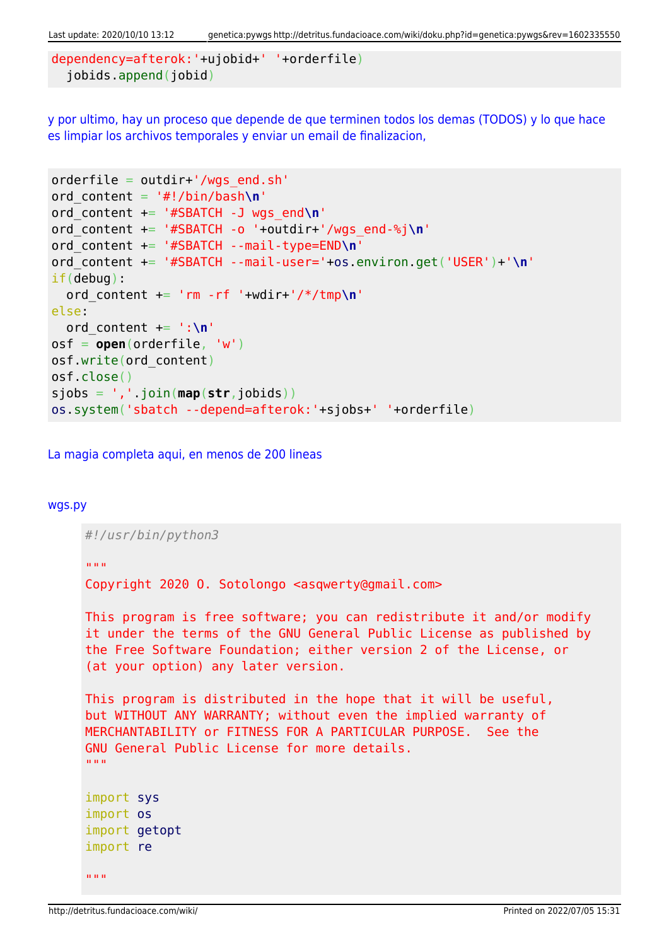Last update: 2020/10/10 13:12 genetica:pywgs http://detritus.fundacioace.com/wiki/doku.php?id=genetica:pywgs&rev=1602335550

```
dependency=afterok:'+ujobid+' '+orderfile)
   jobids.append(jobid)
```
[y por ultimo, hay un proceso que depende de que terminen todos los demas \(TODOS\) y lo que hace](#page--1-0) [es limpiar los archivos temporales y enviar un email de finalizacion,](#page--1-0)

```
orderfile = outdir+'/wgs end.sh'
ord_content = '#!/bin/bash\n'
ord_content += '#SBATCH -J wgs_end\n'
ord_content += '#SBATCH -o '+outdir+'/wgs_end-%j\n'
ord_content += '#SBATCH --mail-type=END\n'
ord_content += '#SBATCH --mail-user='+os.environ.get('USER')+'\n'
if(debug):
   ord_content += 'rm -rf '+wdir+'/*/tmp\n'
else:
   ord_content += ':\n'
osf = open(orderfile, 'w')
osf.write(ord_content)
osf.close()
sjobs = ','.join(map(str,jobids))
os.system('sbatch --depend=afterok:'+sjobs+' '+orderfile)
```
[La magia completa aqui, en menos de 200 lineas](#page--1-0)

#### [wgs.py](http://detritus.fundacioace.com/wiki/doku.php?do=export_code&id=genetica:pywgs&codeblock=14)

```
#!/usr/bin/python3
"" "" ""
Copyright 2020 O. Sotolongo <asqwerty@gmail.com>
This program is free software; you can redistribute it and/or modify
it under the terms of the GNU General Public License as published by
the Free Software Foundation; either version 2 of the License, or
(at your option) any later version.
This program is distributed in the hope that it will be useful,
but WITHOUT ANY WARRANTY; without even the implied warranty of
MERCHANTABILITY or FITNESS FOR A PARTICULAR PURPOSE. See the
GNU General Public License for more details.
"" "" ""
import sys
import os
import getopt
import re
"'' ""
```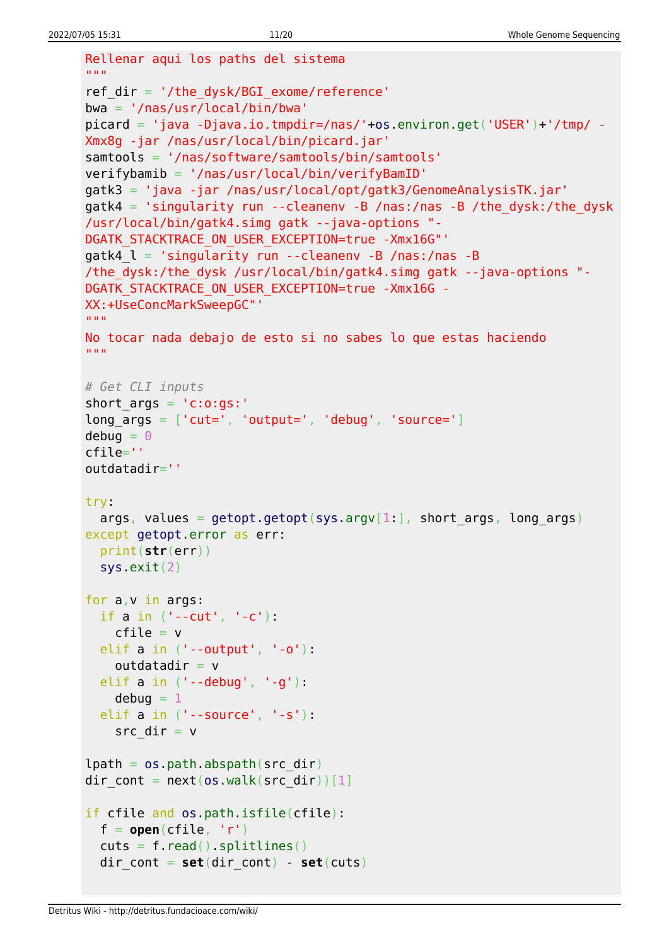```
Rellenar aqui los paths del sistema
"" "" ""
ref dir = '/the dysk/BGI exome/reference'
bwa = '/nas/usr/local/bin/bwa'
picard = 'java -Djava.io.tmpdir=/nas/'+os.environ.get('USER')+'/tmp/ -
Xmx8g -jar /nas/usr/local/bin/picard.jar'
samtools = '/nas/software/samtools/bin/samtools'
verifybamib = '/nas/usr/local/bin/verifyBamID'
gatk3 = 'java -jar /nas/usr/local/opt/gatk3/GenomeAnalysisTK.jar'
gatk4 = 'singularity run --cleanenv -B /nas:/nas -B /the dysk:/the dysk
/usr/local/bin/gatk4.simg gatk --java-options "-
DGATK STACKTRACE ON USER EXCEPTION=true -Xmx16G"'
gatk4 l = 'singularity run --cleanenv -B /nas:/nas -B/the_dysk:/the_dysk /usr/local/bin/gatk4.simg gatk --java-options "-
DGATK STACKTRACE ON USER EXCEPTION=true -Xmx16G -
XX:+UseConcMarkSweepGC"'
"" "" ""
No tocar nada debajo de esto si no sabes lo que estas haciendo
"" "" ""
# Get CLI inputs
short_{args} = 'c:o:gs:long args = ['cut=', 'output=', 'debug', 'source=']debuq = 0cfile=''
outdatadir=''
try:
  args, values = getopt.getopt(sys.argv[1:], short args, long args)
except getopt.error as err:
   print(str(err))
   sys.exit(2)
for a,v in args:
  if a in ('--cut', '-c'):
    cfile = v elif a in ('--output', '-o'):
    outdatadir = velif a in (' - -debug', '-q'):
    debua = 1 elif a in ('--source', '-s'):
    src dir = vlpath = os.path.aboutsrc dir)dir cont = next(os.walk(src dir))[1]
if cfile and os.path.isfile(cfile):
 f = open(cfile, 'r')cuts = f.read().splitlines()dir cont = set(dir \text{ cont}) - set(cuts)
```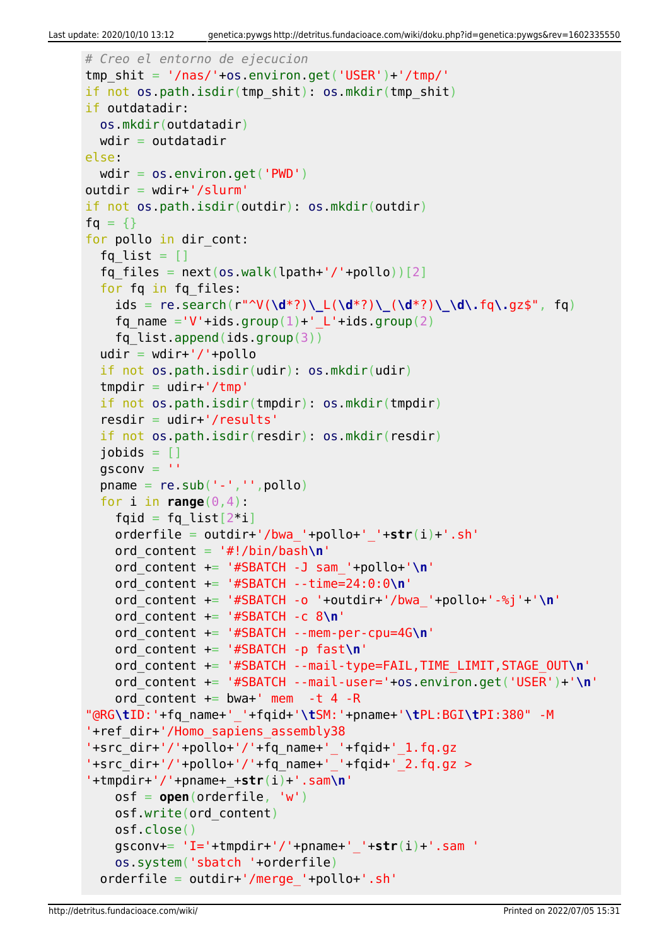```
# Creo el entorno de ejecucion
tmp shift = '/nas/'+os.environ.get('USER')+'/tmp/'if not os.path.isdir(tmp_shit): os.mkdir(tmp_shit)
if outdatadir:
  os.mkdir(outdatadir)
 wdir = outdatadirelse:
 wdir = os.environ.get('PWD')outdir = wdir+'/slurm'if not os.path.isdir(outdir): os.mkdir(outdir)
fa = \{\}for pollo in dir cont:
  fq list = []fq files = next(os.walk(lpath+'/'+pollo))[2] for fq in fq_files:
     ids = re.search(r"^V(\d*?)\_L(\d*?)\_(\d*?)\_\d\.fq\.gz$", fq)
    fq name ='V'+ids.group(1)+' L'+ids.group(2)
    fq list.append(ids.group(3))
  udir = wdir+'/'+pollo if not os.path.isdir(udir): os.mkdir(udir)
  tmpdir = udir+'/tmp') if not os.path.isdir(tmpdir): os.mkdir(tmpdir)
  resdir = udir+'/results' if not os.path.isdir(resdir): os.mkdir(resdir)
  jobids = []qsconv = 'pname = re.sub('--', ''', poollo)for i in range(0, 4):
    fqid = fq list[2^*i] orderfile = outdir+'/bwa_'+pollo+'_'+str(i)+'.sh'
     ord_content = '#!/bin/bash\n'
     ord_content += '#SBATCH -J sam_'+pollo+'\n'
     ord_content += '#SBATCH --time=24:0:0\n'
     ord_content += '#SBATCH -o '+outdir+'/bwa_'+pollo+'-%j'+'\n'
     ord_content += '#SBATCH -c 8\n'
     ord_content += '#SBATCH --mem-per-cpu=4G\n'
     ord_content += '#SBATCH -p fast\n'
     ord_content += '#SBATCH --mail-type=FAIL,TIME_LIMIT,STAGE_OUT\n'
     ord_content += '#SBATCH --mail-user='+os.environ.get('USER')+'\n'
    ord content += bwa+' mem -t 4 -R
"@RG\tID:'+fq_name+'_'+fqid+'\tSM:'+pname+'\tPL:BGI\tPI:380" -M
'+ref_dir+'/Homo_sapiens_assembly38
'+src dir+'/'+pollo+'/'+fq name+' '+fqid+' 1.fq.gz
- +src^-dir+'/'+pollo+'/'+fq^-name+'^-'+fqid+'^-2.fq.gz >
'+tmpdir+'/'+pname+_+str(i)+'.sam\n'
     osf = open(orderfile, 'w')
     osf.write(ord_content)
     osf.close()
     gsconv+= 'I='+tmpdir+'/'+pname+'_'+str(i)+'.sam '
     os.system('sbatch '+orderfile)
  orderfile = outdir+'/merge'+pollo+.sh'
```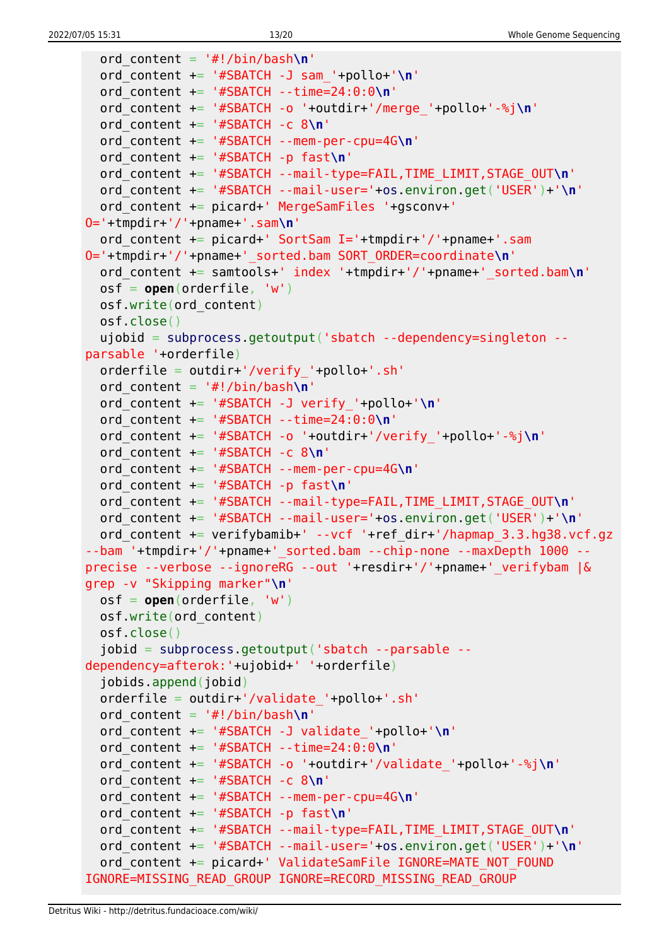```
 ord_content = '#!/bin/bash\n'
   ord_content += '#SBATCH -J sam_'+pollo+'\n'
   ord_content += '#SBATCH --time=24:0:0\n'
   ord_content += '#SBATCH -o '+outdir+'/merge_'+pollo+'-%j\n'
   ord_content += '#SBATCH -c 8\n'
   ord_content += '#SBATCH --mem-per-cpu=4G\n'
   ord_content += '#SBATCH -p fast\n'
   ord_content += '#SBATCH --mail-type=FAIL,TIME_LIMIT,STAGE_OUT\n'
   ord_content += '#SBATCH --mail-user='+os.environ.get('USER')+'\n'
   ord_content += picard+' MergeSamFiles '+gsconv+'
O='+tmpdir+'/'+pname+'.sam\n'
  ord content += picard+' SortSam I='+tmpdir+'/'+pname+'.sam
O='+tmpdir+'/'+pname+'_sorted.bam SORT_ORDER=coordinate\n'
   ord_content += samtools+' index '+tmpdir+'/'+pname+'_sorted.bam\n'
   osf = open(orderfile, 'w')
   osf.write(ord_content)
   osf.close()
   ujobid = subprocess.getoutput('sbatch --dependency=singleton --
parsable '+orderfile)
   orderfile = outdir+'/verify_'+pollo+'.sh'
   ord_content = '#!/bin/bash\n'
   ord_content += '#SBATCH -J verify_'+pollo+'\n'
   ord_content += '#SBATCH --time=24:0:0\n'
   ord_content += '#SBATCH -o '+outdir+'/verify_'+pollo+'-%j\n'
   ord_content += '#SBATCH -c 8\n'
   ord_content += '#SBATCH --mem-per-cpu=4G\n'
   ord_content += '#SBATCH -p fast\n'
   ord_content += '#SBATCH --mail-type=FAIL,TIME_LIMIT,STAGE_OUT\n'
   ord_content += '#SBATCH --mail-user='+os.environ.get('USER')+'\n'
  ord content += verifybamib+' --vcf '+ref dir+'/hapmap 3.3.hg38.vcf.gz
--bam '+tmpdir+'/'+pname+' sorted.bam --chip-none --maxDepth 1000 --
precise --verbose --ignoreRG --out '+resdir+'/'+pname+'_verifybam |&
grep -v "Skipping marker"\n'
   osf = open(orderfile, 'w')
   osf.write(ord_content)
   osf.close()
   jobid = subprocess.getoutput('sbatch --parsable --
dependency=afterok:'+ujobid+' '+orderfile)
   jobids.append(jobid)
   orderfile = outdir+'/validate_'+pollo+'.sh'
   ord_content = '#!/bin/bash\n'
   ord_content += '#SBATCH -J validate_'+pollo+'\n'
   ord_content += '#SBATCH --time=24:0:0\n'
   ord_content += '#SBATCH -o '+outdir+'/validate_'+pollo+'-%j\n'
   ord_content += '#SBATCH -c 8\n'
   ord_content += '#SBATCH --mem-per-cpu=4G\n'
   ord_content += '#SBATCH -p fast\n'
   ord_content += '#SBATCH --mail-type=FAIL,TIME_LIMIT,STAGE_OUT\n'
   ord_content += '#SBATCH --mail-user='+os.environ.get('USER')+'\n'
  ord content += picard+' ValidateSamFile IGNORE=MATE NOT FOUND
IGNORE=MISSING_READ_GROUP IGNORE=RECORD_MISSING_READ_GROUP
```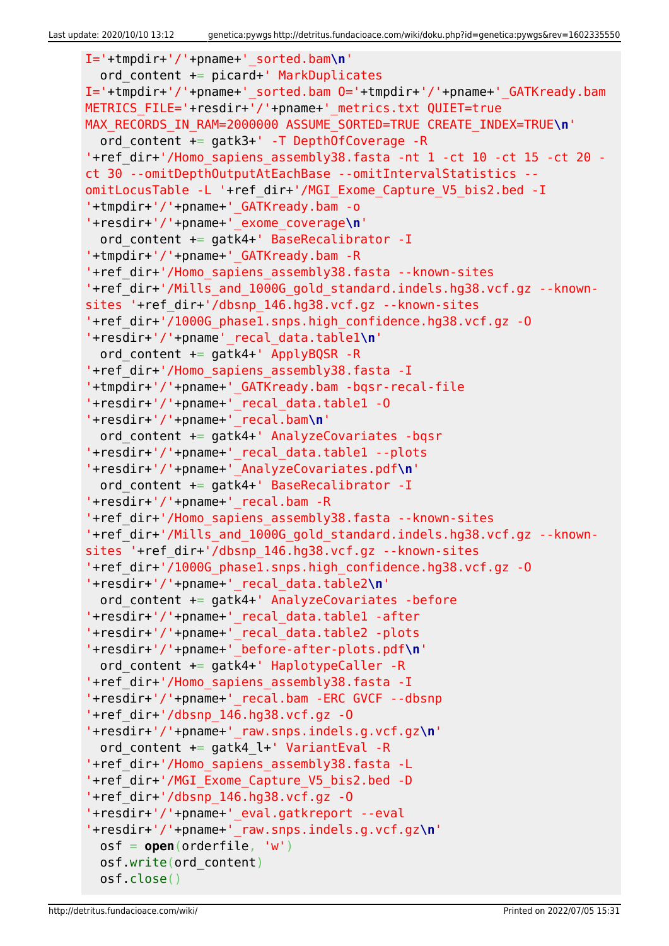```
I='+tmpdir+'/'+pname+'_sorted.bam\n'
   ord_content += picard+' MarkDuplicates
I='+tmpdir+'/'+pname+'_sorted.bam O='+tmpdir+'/'+pname+'_GATKready.bam
METRICS FILE='+resdir+'/'+pname+' metrics.txt QUIET=true
MAX RECORDS IN RAM=2000000 ASSUME SORTED=TRUE CREATE INDEX=TRUE\n'
   ord_content += gatk3+' -T DepthOfCoverage -R
'+ref_dir+'/Homo_sapiens_assembly38.fasta -nt 1 -ct 10 -ct 15 -ct 20 -
ct 30 --omitDepthOutputAtEachBase --omitIntervalStatistics --
omitLocusTable -L '+ref_dir+'/MGI_Exome_Capture_V5_bis2.bed -I
'+tmpdir+'/'+pname+'_GATKready.bam -o
'+resdir+'/'+pname+'_exome_coverage\n'
  ord content += gatk4+' BaseRecalibrator -I
'+tmpdir+'/'+pname+'_GATKready.bam -R
'+ref_dir+'/Homo_sapiens_assembly38.fasta --known-sites
'+ref_dir+'/Mills_and_1000G_gold_standard.indels.hg38.vcf.gz --known-
sites '+ref_dir+'/dbsnp_146.hg38.vcf.gz --known-sites
'+ref_dir+'/1000G_phase1.snps.high_confidence.hg38.vcf.gz -O
'+resdir+'/'+pname'_recal_data.table1\n'
  ord content += gatk4+' ApplyBQSR -R
'+ref_dir+'/Homo_sapiens_assembly38.fasta -I
'+tmpdir+'/'+pname+'_GATKready.bam -bqsr-recal-file
'+resdir+'/'+pname+'_recal_data.table1 -O
'+resdir+'/'+pname+'_recal.bam\n'
   ord_content += gatk4+' AnalyzeCovariates -bqsr
'+resdir+'/'+pname+'_recal_data.table1 --plots
'+resdir+'/'+pname+'_AnalyzeCovariates.pdf\n'
  ord content += gatk4+' BaseRecalibrator -I
'+resdir+'/'+pname+'_recal.bam -R
'+ref_dir+'/Homo_sapiens_assembly38.fasta --known-sites
'+ref_dir+'/Mills_and_1000G_gold_standard.indels.hg38.vcf.gz --known-
sites '+ref_dir+'/dbsnp_146.hg38.vcf.gz --known-sites
'+ref_dir+'/1000G_phase1.snps.high_confidence.hg38.vcf.gz -O
'+resdir+'/'+pname+'_recal_data.table2\n'
   ord_content += gatk4+' AnalyzeCovariates -before
'+resdir+'/'+pname+'_recal_data.table1 -after
'+resdir+'/'+pname+'_recal_data.table2 -plots
'+resdir+'/'+pname+'_before-after-plots.pdf\n'
  ord content += gatk4+' HaplotypeCaller -R
'+ref_dir+'/Homo_sapiens_assembly38.fasta -I
'+resdir+'/'+pname+'_recal.bam -ERC GVCF --dbsnp
'+ref dir+'/dbsnp 146.hq38.vcf.gz -0'+resdir+'/'+pname+'_raw.snps.indels.g.vcf.gz\n'
  ord content += gatk4 l+' VariantEval -R
'+ref_dir+'/Homo_sapiens_assembly38.fasta -L
'+ref_dir+'/MGI_Exome_Capture_V5_bis2.bed -D
'+ref_dir+'/dbsnp_146.hg38.vcf.gz -O
'+resdir+'/'+pname+'_eval.gatkreport --eval
'+resdir+'/'+pname+'_raw.snps.indels.g.vcf.gz\n'
   osf = open(orderfile, 'w')
   osf.write(ord_content)
   osf.close()
```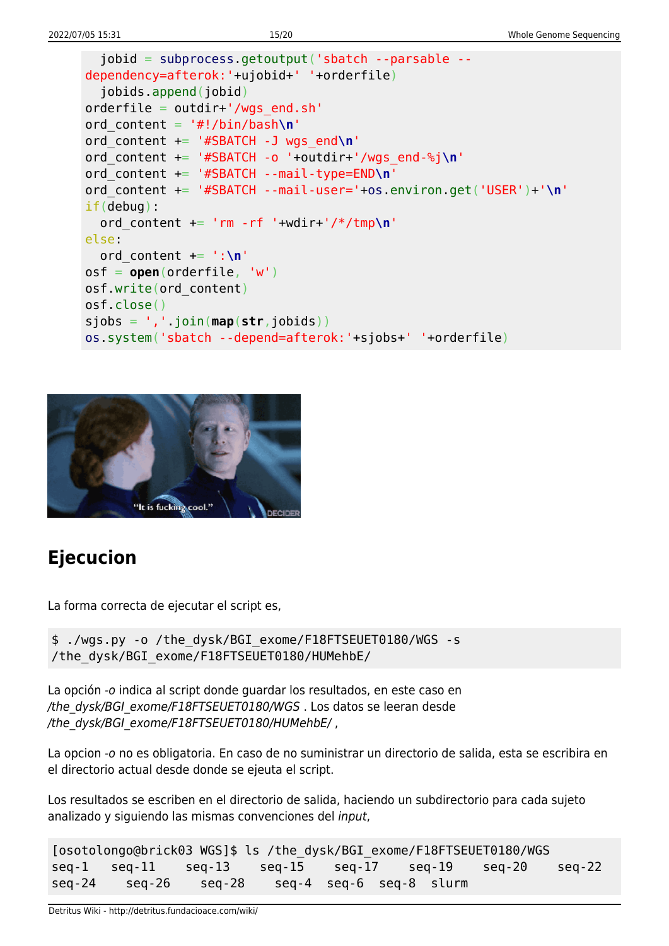```
 jobid = subprocess.getoutput('sbatch --parsable --
dependency=afterok:'+ujobid+' '+orderfile)
   jobids.append(jobid)
orderfile = outdir+'/wgs end.sh'
ord_content = '#!/bin/bash\n'
ord_content += '#SBATCH -J wgs_end\n'
ord_content += '#SBATCH -o '+outdir+'/wgs_end-%j\n'
ord_content += '#SBATCH --mail-type=END\n'
ord_content += '#SBATCH --mail-user='+os.environ.get('USER')+'\n'
if(debug):
  ord content += 'rm -rf '+wdir+'/*/tmp\n'
else:
   ord_content += ':\n'
osf = open(orderfile, 'w')
osf.write(ord_content)
osf.close()
sjobs = ','.join(map(str,jobids))
os.system('sbatch --depend=afterok:'+sjobs+' '+orderfile)
```


# **Ejecucion**

La forma correcta de ejecutar el script es,

```
$ ./wgs.py -o /the_dysk/BGI_exome/F18FTSEUET0180/WGS -s
/the_dysk/BGI_exome/F18FTSEUET0180/HUMehbE/
```
La opción -o indica al script donde guardar los resultados, en este caso en /the\_dysk/BGI\_exome/F18FTSEUET0180/WGS . Los datos se leeran desde /the\_dysk/BGI\_exome/F18FTSEUET0180/HUMehbE/,

La opcion -o no es obligatoria. En caso de no suministrar un directorio de salida, esta se escribira en el directorio actual desde donde se ejeuta el script.

Los resultados se escriben en el directorio de salida, haciendo un subdirectorio para cada sujeto analizado y siguiendo las mismas convenciones del input,

```
[osotolongo@brick03 WGS]$ ls /the_dysk/BGI_exome/F18FTSEUET0180/WGS
seq-1 seq-11 seq-13 seq-15 seq-17 seq-19 seq-20 seq-22
seq-24 seq-26 seq-28 seq-4 seq-6 seq-8 slurm
```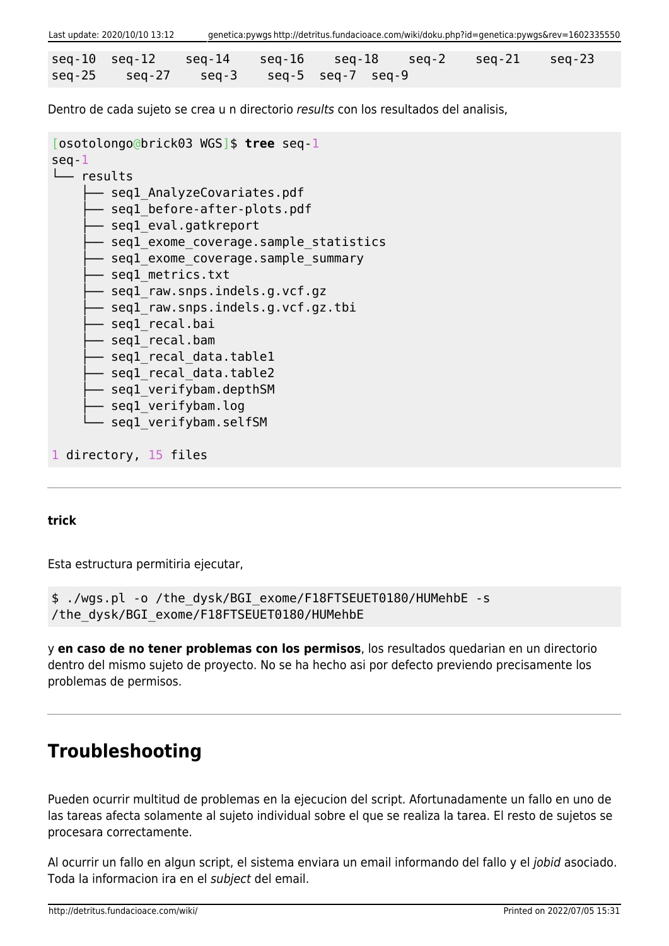| Last update: 2020/10/10 13:12                     | genetica:pywgs http://detritus.fundacioace.com/wiki/doku.php?id=genetica:pywgs&rev=1602335550 |  |  |                                                                        |  |  |  |  |  |
|---------------------------------------------------|-----------------------------------------------------------------------------------------------|--|--|------------------------------------------------------------------------|--|--|--|--|--|
|                                                   |                                                                                               |  |  |                                                                        |  |  |  |  |  |
|                                                   |                                                                                               |  |  | $seq-10$ $seq-12$ $seq-14$ $seq-16$ $seq-18$ $seq-2$ $seq-21$ $seq-23$ |  |  |  |  |  |
| $seq-25$ $seq-27$ $seq-3$ $seq-5$ $seq-7$ $seq-9$ |                                                                                               |  |  |                                                                        |  |  |  |  |  |

Dentro de cada sujeto se crea u n directorio results con los resultados del analisis,

```
[osotolongo@brick03 WGS]$ tree seq-1
seq-1
└── results
      - segl AnalyzeCovariates.pdf
      - seql before-after-plots.pdf
       - seql eval.gatkreport
       - segl exome coverage.sample statistics
       - seql_exome_coverage.sample_summary
       - seql metrics.txt
       - seql raw.snps.indels.g.vcf.gz
       - seql raw.snps.indels.g.vcf.gz.tbi
       - seql recal.bai
        ├── seq1_recal.bam
       - seql recal data.table1
       - seql recal data.table2
       - segl verifybam.depthSM
       - seql verifybam.log
       - seql verifybam.selfSM
1 directory, 15 files
```
#### **trick**

Esta estructura permitiria ejecutar,

\$ ./wgs.pl -o /the\_dysk/BGI\_exome/F18FTSEUET0180/HUMehbE -s /the\_dysk/BGI\_exome/F18FTSEUET0180/HUMehbE

y **en caso de no tener problemas con los permisos**, los resultados quedarian en un directorio dentro del mismo sujeto de proyecto. No se ha hecho asi por defecto previendo precisamente los problemas de permisos.

### **Troubleshooting**

Pueden ocurrir multitud de problemas en la ejecucion del script. Afortunadamente un fallo en uno de las tareas afecta solamente al sujeto individual sobre el que se realiza la tarea. El resto de sujetos se procesara correctamente.

Al ocurrir un fallo en algun script, el sistema enviara un email informando del fallo y el jobid asociado. Toda la informacion ira en el subject del email.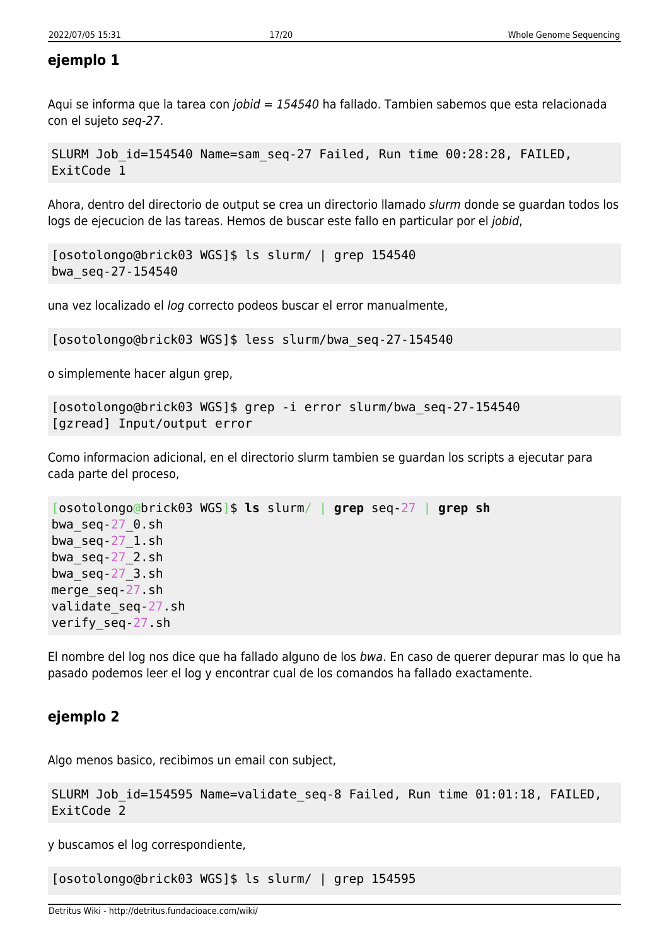### **ejemplo 1**

Aqui se informa que la tarea con jobid = 154540 ha fallado. Tambien sabemos que esta relacionada con el sujeto seq-27.

```
SLURM Job_id=154540 Name=sam_seq-27 Failed, Run time 00:28:28, FAILED,
ExitCode 1
```
Ahora, dentro del directorio de output se crea un directorio llamado slurm donde se guardan todos los logs de ejecucion de las tareas. Hemos de buscar este fallo en particular por el jobid,

```
[osotolongo@brick03 WGS]$ ls slurm/ | grep 154540
bwa_seq-27-154540
```
una vez localizado el log correcto podeos buscar el error manualmente,

```
[osotolongo@brick03 WGS]$ less slurm/bwa_seq-27-154540
```
o simplemente hacer algun grep,

```
[osotolongo@brick03 WGS]$ grep -i error slurm/bwa_seq-27-154540
[gzread] Input/output error
```
Como informacion adicional, en el directorio slurm tambien se guardan los scripts a ejecutar para cada parte del proceso,

```
[osotolongo@brick03 WGS]$ ls slurm/ | grep seq-27 | grep sh
bwa_seq-27_0.sh
bwa_seq-27_1.sh
bwa_seq-27_2.sh
bwa_seq-27_3.sh
merge_seq-27.sh
validate_seq-27.sh
verify_seq-27.sh
```
El nombre del log nos dice que ha fallado alguno de los bwa. En caso de querer depurar mas lo que ha pasado podemos leer el log y encontrar cual de los comandos ha fallado exactamente.

### **ejemplo 2**

Algo menos basico, recibimos un email con subject,

```
SLURM Job_id=154595 Name=validate_seq-8 Failed, Run time 01:01:18, FAILED,
ExitCode 2
```
y buscamos el log correspondiente,

[osotolongo@brick03 WGS]\$ ls slurm/ | grep 154595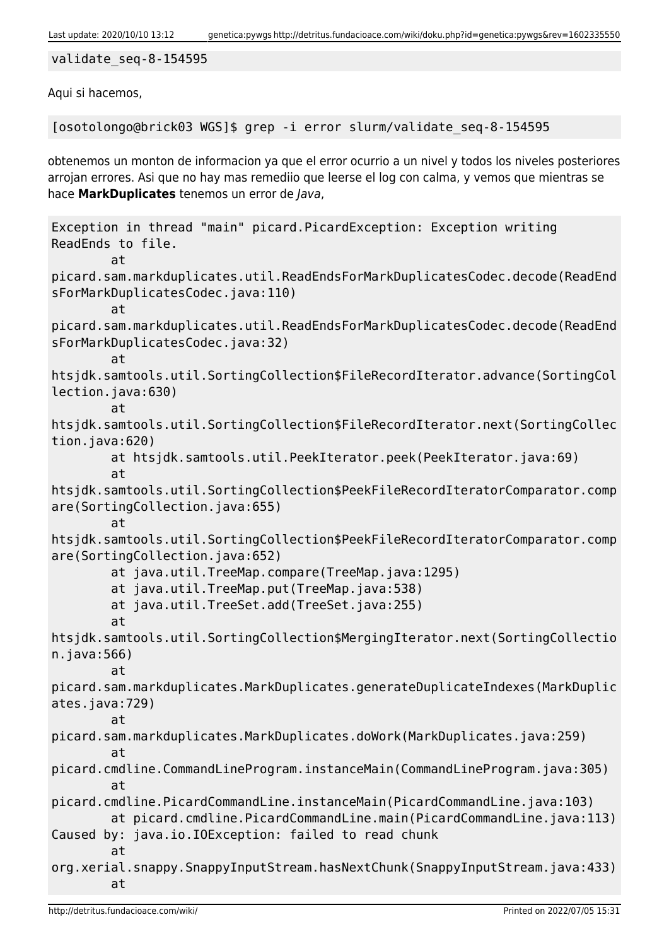#### validate\_seq-8-154595

Aqui si hacemos,

[osotolongo@brick03 WGS]\$ grep -i error slurm/validate\_seq-8-154595

obtenemos un monton de informacion ya que el error ocurrio a un nivel y todos los niveles posteriores arrojan errores. Asi que no hay mas remediio que leerse el log con calma, y vemos que mientras se hace **MarkDuplicates** tenemos un error de Java,

```
Exception in thread "main" picard.PicardException: Exception writing
ReadEnds to file.
         at
picard.sam.markduplicates.util.ReadEndsForMarkDuplicatesCodec.decode(ReadEnd
sForMarkDuplicatesCodec.java:110)
         at
picard.sam.markduplicates.util.ReadEndsForMarkDuplicatesCodec.decode(ReadEnd
sForMarkDuplicatesCodec.java:32)
         at
htsjdk.samtools.util.SortingCollection$FileRecordIterator.advance(SortingCol
lection.java:630)
         at
htsjdk.samtools.util.SortingCollection$FileRecordIterator.next(SortingCollec
tion.java:620)
         at htsjdk.samtools.util.PeekIterator.peek(PeekIterator.java:69)
         at
htsjdk.samtools.util.SortingCollection$PeekFileRecordIteratorComparator.comp
are(SortingCollection.java:655)
         at
htsjdk.samtools.util.SortingCollection$PeekFileRecordIteratorComparator.comp
are(SortingCollection.java:652)
         at java.util.TreeMap.compare(TreeMap.java:1295)
         at java.util.TreeMap.put(TreeMap.java:538)
         at java.util.TreeSet.add(TreeSet.java:255)
         at
htsjdk.samtools.util.SortingCollection$MergingIterator.next(SortingCollectio
n.java:566)
         at
picard.sam.markduplicates.MarkDuplicates.generateDuplicateIndexes(MarkDuplic
ates.java:729)
         at
picard.sam.markduplicates.MarkDuplicates.doWork(MarkDuplicates.java:259)
         at
picard.cmdline.CommandLineProgram.instanceMain(CommandLineProgram.java:305)
         at
picard.cmdline.PicardCommandLine.instanceMain(PicardCommandLine.java:103)
         at picard.cmdline.PicardCommandLine.main(PicardCommandLine.java:113)
Caused by: java.io.IOException: failed to read chunk
         at
org.xerial.snappy.SnappyInputStream.hasNextChunk(SnappyInputStream.java:433)
         at
```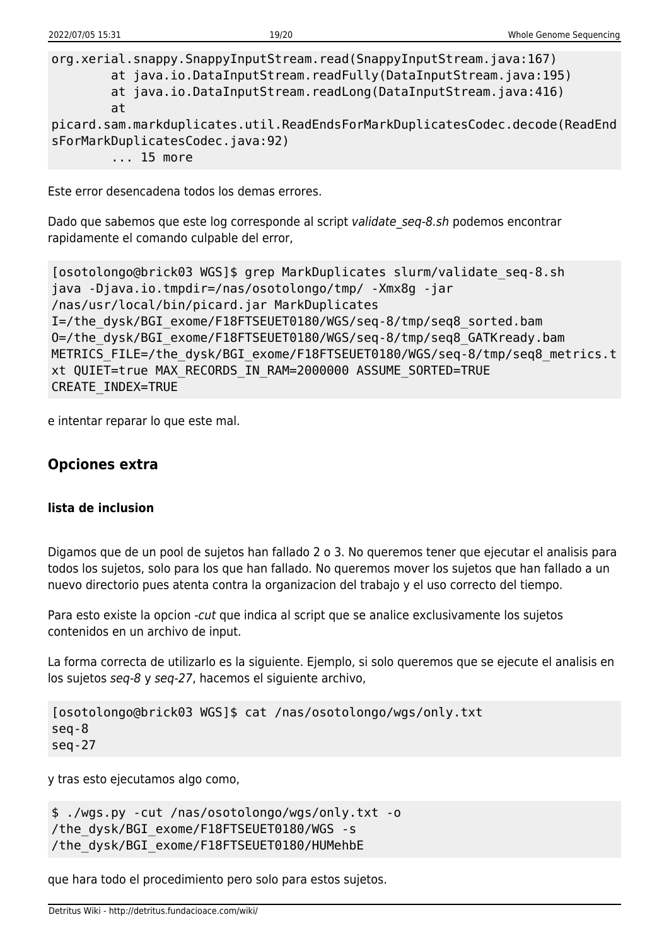org.xerial.snappy.SnappyInputStream.read(SnappyInputStream.java:167) at java.io.DataInputStream.readFully(DataInputStream.java:195) at java.io.DataInputStream.readLong(DataInputStream.java:416) at picard.sam.markduplicates.util.ReadEndsForMarkDuplicatesCodec.decode(ReadEnd sForMarkDuplicatesCodec.java:92)

... 15 more

Este error desencadena todos los demas errores.

Dado que sabemos que este log corresponde al script validate seg-8.sh podemos encontrar rapidamente el comando culpable del error,

```
[osotolongo@brick03 WGS]$ grep MarkDuplicates slurm/validate_seq-8.sh
java -Djava.io.tmpdir=/nas/osotolongo/tmp/ -Xmx8g -jar
/nas/usr/local/bin/picard.jar MarkDuplicates
I=/the_dysk/BGI_exome/F18FTSEUET0180/WGS/seq-8/tmp/seq8_sorted.bam
O=/the_dysk/BGI_exome/F18FTSEUET0180/WGS/seq-8/tmp/seq8_GATKready.bam
METRICS FILE=/the dysk/BGI exome/F18FTSEUET0180/WGS/seq-8/tmp/seq8 metrics.t
xt QUIET=true MAX_RECORDS_IN_RAM=2000000 ASSUME_SORTED=TRUE
CREATE_INDEX=TRUE
```
e intentar reparar lo que este mal.

### **Opciones extra**

#### **lista de inclusion**

Digamos que de un pool de sujetos han fallado 2 o 3. No queremos tener que ejecutar el analisis para todos los sujetos, solo para los que han fallado. No queremos mover los sujetos que han fallado a un nuevo directorio pues atenta contra la organizacion del trabajo y el uso correcto del tiempo.

Para esto existe la opcion -cut que indica al script que se analice exclusivamente los sujetos contenidos en un archivo de input.

La forma correcta de utilizarlo es la siguiente. Ejemplo, si solo queremos que se ejecute el analisis en los sujetos seq-8 y seq-27, hacemos el siguiente archivo,

```
[osotolongo@brick03 WGS]$ cat /nas/osotolongo/wgs/only.txt
seq-8
seq-27
```
y tras esto ejecutamos algo como,

```
$ ./wgs.py -cut /nas/osotolongo/wgs/only.txt -o
/the_dysk/BGI_exome/F18FTSEUET0180/WGS -s
/the_dysk/BGI_exome/F18FTSEUET0180/HUMehbE
```
que hara todo el procedimiento pero solo para estos sujetos.